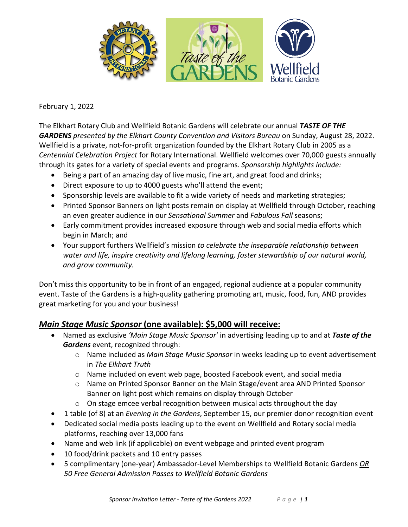

#### February 1, 2022

The Elkhart Rotary Club and Wellfield Botanic Gardens will celebrate our annual *TASTE OF THE GARDENS presented by the Elkhart County Convention and Visitors Bureau* on Sunday, August 28, 2022. Wellfield is a private, not-for-profit organization founded by the Elkhart Rotary Club in 2005 as a *Centennial Celebration Project* for Rotary International. Wellfield welcomes over 70,000 guests annually through its gates for a variety of special events and programs. *Sponsorship highlights include:*

- Being a part of an amazing day of live music, fine art, and great food and drinks;
- Direct exposure to up to 4000 guests who'll attend the event;
- Sponsorship levels are available to fit a wide variety of needs and marketing strategies;
- Printed Sponsor Banners on light posts remain on display at Wellfield through October, reaching an even greater audience in our *Sensational Summer* and *Fabulous Fall* seasons;
- Early commitment provides increased exposure through web and social media efforts which begin in March; and
- Your support furthers Wellfield's mission *to celebrate the inseparable relationship between water and life, inspire creativity and lifelong learning, foster stewardship of our natural world, and grow community.*

Don't miss this opportunity to be in front of an engaged, regional audience at a popular community event. Taste of the Gardens is a high-quality gathering promoting art, music, food, fun, AND provides great marketing for you and your business!

### *Main Stage Music Sponsor* **(one available): \$5,000 will receive:**

- Named as exclusive *'Main Stage Music Sponsor'* in advertising leading up to and at *Taste of the Gardens* event, recognized through:
	- o Name included as *Main Stage Music Sponsor* in weeks leading up to event advertisement in *The Elkhart Truth*
	- o Name included on event web page, boosted Facebook event, and social media
	- o Name on Printed Sponsor Banner on the Main Stage/event area AND Printed Sponsor Banner on light post which remains on display through October
	- o On stage emcee verbal recognition between musical acts throughout the day
- 1 table (of 8) at an *Evening in the Gardens*, September 15, our premier donor recognition event
- Dedicated social media posts leading up to the event on Wellfield and Rotary social media platforms, reaching over 13,000 fans
- Name and web link (if applicable) on event webpage and printed event program
- 10 food/drink packets and 10 entry passes
- 5 complimentary (one-year) Ambassador-Level Memberships to Wellfield Botanic Gardens *OR 50 Free General Admission Passes to Wellfield Botanic Gardens*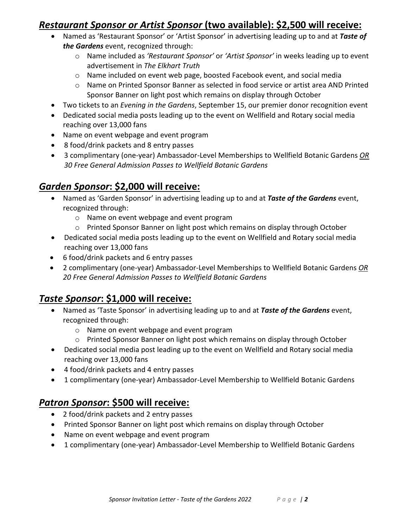### *Restaurant Sponsor or Artist Sponsor* **(two available): \$2,500 will receive:**

- Named as 'Restaurant Sponsor' or 'Artist Sponsor' in advertising leading up to and at *Taste of the Gardens* event, recognized through:
	- o Name included as *'Restaurant Sponsor'* or *'Artist Sponsor'* in weeks leading up to event advertisement in *The Elkhart Truth*
	- o Name included on event web page, boosted Facebook event, and social media
	- o Name on Printed Sponsor Banner as selected in food service or artist area AND Printed Sponsor Banner on light post which remains on display through October
- Two tickets to an *Evening in the Gardens*, September 15, our premier donor recognition event
- Dedicated social media posts leading up to the event on Wellfield and Rotary social media reaching over 13,000 fans
- Name on event webpage and event program
- 8 food/drink packets and 8 entry passes
- 3 complimentary (one-year) Ambassador-Level Memberships to Wellfield Botanic Gardens *OR 30 Free General Admission Passes to Wellfield Botanic Gardens*

## *Garden Sponsor***: \$2,000 will receive:**

- Named as 'Garden Sponsor' in advertising leading up to and at *Taste of the Gardens* event, recognized through:
	- o Name on event webpage and event program
	- o Printed Sponsor Banner on light post which remains on display through October
- Dedicated social media posts leading up to the event on Wellfield and Rotary social media reaching over 13,000 fans
- 6 food/drink packets and 6 entry passes
- 2 complimentary (one-year) Ambassador-Level Memberships to Wellfield Botanic Gardens *OR 20 Free General Admission Passes to Wellfield Botanic Gardens*

# *Taste Sponsor***: \$1,000 will receive:**

- Named as 'Taste Sponsor' in advertising leading up to and at *Taste of the Gardens* event, recognized through:
	- o Name on event webpage and event program
	- o Printed Sponsor Banner on light post which remains on display through October
- Dedicated social media post leading up to the event on Wellfield and Rotary social media reaching over 13,000 fans
- 4 food/drink packets and 4 entry passes
- 1 complimentary (one-year) Ambassador-Level Membership to Wellfield Botanic Gardens

# *Patron Sponsor***: \$500 will receive:**

- 2 food/drink packets and 2 entry passes
- Printed Sponsor Banner on light post which remains on display through October
- Name on event webpage and event program
- 1 complimentary (one-year) Ambassador-Level Membership to Wellfield Botanic Gardens